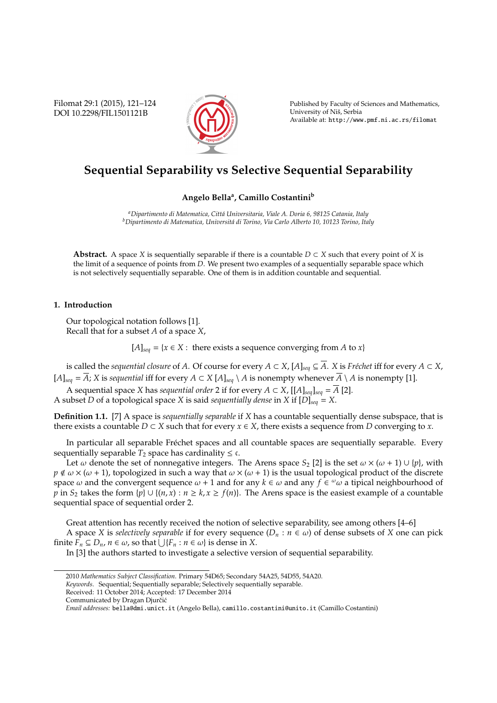Filomat 29:1 (2015), 121–124 DOI 10.2298/FIL1501121B



Published by Faculty of Sciences and Mathematics, University of Niš, Serbia Available at: http://www.pmf.ni.ac.rs/filomat

# **Sequential Separability vs Selective Sequential Separability**

### **Angelo Bella<sup>a</sup> , Camillo Costantini<sup>b</sup>**

*<sup>a</sup>Dipartimento di Matematica, Citt´a Universitaria, Viale A. Doria 6, 98125 Catania, Italy* <sup>b</sup>Dipartimento di Matematica, Universitá di Torino, Via Carlo Alberto 10, 10123 Torino, Italy

**Abstract.** A space *X* is sequentially separable if there is a countable  $D \subset X$  such that every point of *X* is the limit of a sequence of points from *D*. We present two examples of a sequentially separable space which is not selectively sequentially separable. One of them is in addition countable and sequential.

## **1. Introduction**

Our topological notation follows [1]. Recall that for a subset *A* of a space *X*,

 $[A]_{seq} = \{x \in X : \text{ there exists a sequence converging from } A \text{ to } x\}$ 

is called the *sequential closure* of *A*. Of course for every  $A \subset X$ ,  $[A]_{seq} \subseteq \overline{A}$ . *X* is *Fréchet* iff for every  $A \subset X$ , [*A*]<sub>*seq*</sub> =  $\overline{A}$ ; *X* is *sequential* iff for every *A* ⊂ *X* [*A*]<sub>*seq*</sub> \ *A* is nonempty whenever  $\overline{A}$  \ *A* is nonempty [1].

A sequential space *X* has *sequential order* 2 if for every *A* ⊂ *X*, [[*A*]<sub>*seq*</sub>]<sub>*seq*</sub> =  $\overline{A}$  [2]. A subset *D* of a topological space *X* is said *sequentially dense* in *X* if [*D*]*seq* = *X*.

**Definition 1.1.** [7] A space is *sequentially separable* if *X* has a countable sequentially dense subspace, that is there exists a countable  $D \subset X$  such that for every  $x \in X$ , there exists a sequence from  $D$  converging to  $x$ .

In particular all separable Fréchet spaces and all countable spaces are sequentially separable. Every sequentially separable  $T_2$  space has cardinality  $\leq \epsilon$ .

Let  $\omega$  denote the set of nonnegative integers. The Arens space  $S_2$  [2] is the set  $\omega \times (\omega + 1) \cup \{p\}$ , with  $p \notin \omega \times (\omega + 1)$ , topologized in such a way that  $\omega \times (\omega + 1)$  is the usual topological product of the discrete space  $\omega$  and the convergent sequence  $\omega + 1$  and for any  $k \in \omega$  and any  $f \in \omega \omega$  a tipical neighbourhood of *p* in *S*<sub>2</sub> takes the form  $\{p\} \cup \{(n, x) : n \ge k, x \ge f(n)\}$ . The Arens space is the easiest example of a countable sequential space of sequential order 2.

Great attention has recently received the notion of selective separability, see among others [4–6] A space *X* is *selectively separable* if for every sequence  $(D_n : n \in \omega)$  of dense subsets of *X* one can pick finite  $\overline{F}_n \subseteq D_n$ ,  $n \in \omega$ , so that  $\bigcup \{F_n : n \in \omega\}$  is dense in *X*.

In [3] the authors started to investigate a selective version of sequential separability.

<sup>2010</sup> *Mathematics Subject Classification*. Primary 54D65; Secondary 54A25, 54D55, 54A20.

*Keywords*. Sequential; Sequentially separable; Selectively sequentially separable.

Received: 11 October 2014; Accepted: 17 December 2014

Communicated by Dragan Djurčić

*Email addresses:* bella@dmi.unict.it (Angelo Bella), camillo.costantini@unito.it (Camillo Costantini)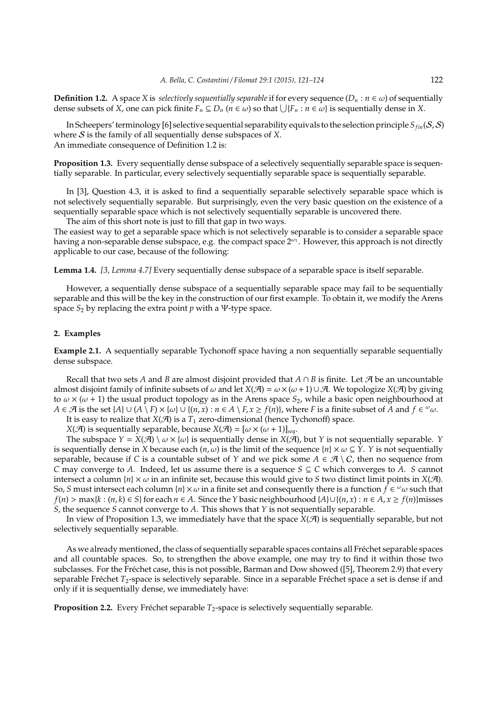**Definition 1.2.** A space *X* is *selectively sequentially separable* if for every sequence  $(D_n : n \in \omega)$  of sequentially dense subsets of *X*, one can pick finite  $F_n \subseteq D_n$  ( $n \in \omega$ ) so that  $\bigcup \{F_n : n \in \omega\}$  is sequentially dense in *X*.

In Scheepers' terminology [6] selective sequential separability equivals to the selection principle  $S_{fin}(S, S)$ where S is the family of all sequentially dense subspaces of *X*. An immediate consequence of Definition 1.2 is:

**Proposition 1.3.** Every sequentially dense subspace of a selectively sequentially separable space is sequentially separable. In particular, every selectively sequentially separable space is sequentially separable.

In [3], Question 4.3, it is asked to find a sequentially separable selectively separable space which is not selectively sequentially separable. But surprisingly, even the very basic question on the existence of a sequentially separable space which is not selectively sequentially separable is uncovered there. The aim of this short note is just to fill that gap in two ways.

The easiest way to get a separable space which is not selectively separable is to consider a separable space having a non-separable dense subspace, e.g. the compact space  $2^{\omega_1}$ . However, this approach is not directly applicable to our case, because of the following:

**Lemma 1.4.** *[3, Lemma 4.7]* Every sequentially dense subspace of a separable space is itself separable.

However, a sequentially dense subspace of a sequentially separable space may fail to be sequentially separable and this will be the key in the construction of our first example. To obtain it, we modify the Arens space *S*<sup>2</sup> by replacing the extra point *p* with a Ψ-type space.

#### **2. Examples**

**Example 2.1.** A sequentially separable Tychonoff space having a non sequentially separable sequentially dense subspace*.*

Recall that two sets *A* and *B* are almost disjoint provided that  $A \cap B$  is finite. Let  $\mathcal{A}$  be an uncountable almost disjoint family of infinite subsets of  $\omega$  and let *X*( $\mathcal{A}$ ) =  $\omega \times (\omega + 1) \cup \mathcal{A}$ . We topologize *X*( $\mathcal{A}$ ) by giving to  $\omega \times (\omega + 1)$  the usual product topology as in the Arens space  $S_2$ , while a basic open neighbourhood at  $A \in \mathcal{A}$  is the set  $\{A\} \cup (A \setminus F) \times \{\omega\} \cup \{(n, x) : n \in A \setminus F, x \ge f(n)\}$ , where *F* is a finite subset of  $\tilde{A}$  and  $f \in \omega \omega$ .

It is easy to realize that  $X(\mathcal{A})$  is a  $T_1$  zero-dimensional (hence Tychonoff) space.

*X*( $\mathcal{A}$ ) is sequentially separable, because *X*( $\mathcal{A}$ ) = [ $\omega$  × ( $\omega$  + 1)]*seq*.

The subspace  $Y = X(\mathcal{A}) \setminus \omega \times \{\omega\}$  is sequentially dense in  $X(\mathcal{A})$ , but *Y* is not sequentially separable. *Y* is sequentially dense in *X* because each  $(n, \omega)$  is the limit of the sequence  $\{n\} \times \omega \subseteq Y$ . *Y* is not sequentially separable, because if *C* is a countable subset of *Y* and we pick some  $A \in \mathcal{A} \setminus C$ , then no sequence from *C* may converge to *A*. Indeed, let us assume there is a sequence  $S \subseteq C$  which converges to *A*. *S* cannot intersect a column  ${n \times \omega}$  in an infinite set, because this would give to *S* two distinct limit points in *X*(A). So, *S* must intersect each column {*n*} ×  $\omega$  in a finite set and consequently there is a function  $\hat{f} \in \omega \omega$  such that  $f(n) > \max\{k : (n, k) \in S\}$  for each  $n \in A$ . Since the Y basic neighbourhood  $\{A\} \cup \{(n, x) : n \in A, x \ge f(n)\}$  misses *S*, the sequence *S* cannot converge to *A*. This shows that *Y* is not sequentially separable.

In view of Proposition 1.3, we immediately have that the space  $X(\mathcal{A})$  is sequentially separable, but not selectively sequentially separable.

As we already mentioned, the class of sequentially separable spaces contains all Fréchet separable spaces and all countable spaces. So, to strengthen the above example, one may try to find it within those two subclasses. For the Fréchet case, this is not possible, Barman and Dow showed ([5], Theorem 2.9) that every separable Fréchet  $T_2$ -space is selectively separable. Since in a separable Fréchet space a set is dense if and only if it is sequentially dense, we immediately have:

**Proposition 2.2.** Every Fréchet separable  $T_2$ -space is selectively sequentially separable.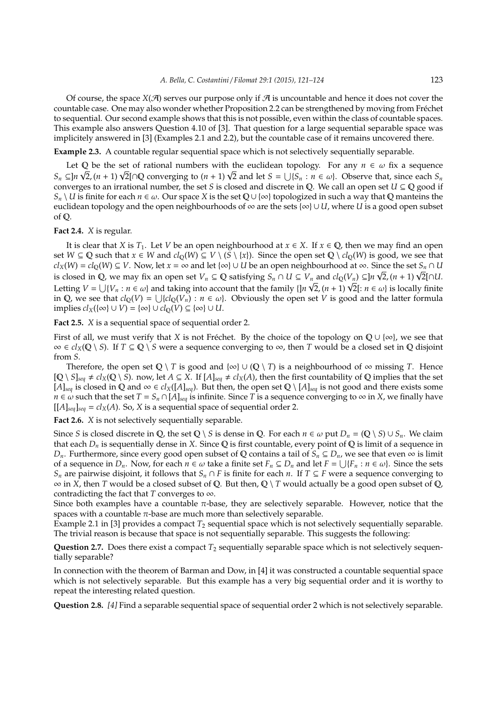Of course, the space  $X(\mathcal{A})$  serves our purpose only if  $\mathcal A$  is uncountable and hence it does not cover the countable case. One may also wonder whether Proposition 2.2 can be strengthened by moving from Frechet ´ to sequential. Our second example shows that this is not possible, even within the class of countable spaces. This example also answers Question 4.10 of [3]. That question for a large sequential separable space was implicitely answered in [3] (Examples 2.1 and 2.2), but the countable case of it remains uncovered there.

**Example 2.3.** A countable regular sequential space which is not selectively sequentially separable.

Let  $Q$  be the set of rational numbers with the euclidean topology. For any  $n \in \omega$  fix a sequence Let Q be the set of rational numbers with the euclidean topology. For any  $n \in \omega$  fix a sequence  $S_n \subseteq ]n\sqrt{2}$ ,  $(n + 1)\sqrt{2}[\cap \mathbb{Q}$  converging to  $(n + 1)\sqrt{2}$  and let  $S = \bigcup \{S_n : n \in \omega\}$ . Observe that, since each  $S_n$ converges to an irrational number, the set *S* is closed and discrete in Q. We call an open set  $U \subseteq \mathbb{Q}$  good if  $S_n \setminus U$  is finite for each *n* ∈ ω. Our space *X* is the set Q ∪ {∞} topologized in such a way that Q manteins the euclidean topology and the open neighbourhoods of ∞ are the sets {∞} ∪ *U*, where *U* is a good open subset of Q.

**Fact 2.4.** *X* is regular.

It is clear that *X* is *T*<sub>1</sub>. Let *V* be an open neighbourhood at  $x \in X$ . If  $x \in \mathbb{Q}$ , then we may find an open set *W* ⊆ *Q* such that *x* ∈ *W* and  $cl_0(W)$  ⊆ *V* \  $(S \ \ x)$ . Since the open set  $Q \ c l_0(W)$  is good, we see that  $cl_X(W) = cl_Q(W) ⊆ V$ . Now, let  $x = ∞$  and let  $\{∞\} ∪ U$  be an open neighbourhood at ∞. Since the set  $S_n ∩ U$  $cl_X(W) = cl_Q(W) ⊆ V$ . Now, let  $x = ∞$  and let {∞} ∪ *U* be an open neighbourhood at ∞. Since the set  $S_n ∩ U$  is closed in Q, we may fix an open set  $V_n ⊆ Q$  satisfying  $S_n ∩ U ⊆ V_n$  and  $cl_Q(V_n) ⊆ ]n √2$ ,  $(n + 1) √2[∩U$ . is closed in Q, we may fix an open set  $V_n \subseteq Q$  satisfying  $S_n \cap U \subseteq V_n$  and  $cl_Q(V_n) \subseteq n \vee l$ ,  $(n + 1) \vee l \cap U$ .<br>Letting  $V = \bigcup \{V_n : n \in \omega\}$  and taking into account that the family  $\{\vert n \sqrt{2}, (n + 1) \sqrt{2}\vert : n \in \omega\}$  is locally fini in Q, we see that  $cl_Q(V) = \bigcup \{ cl_Q(V_n) : n \in \omega \}$ . Obviously the open set *V* is good and the latter formula implies  $cl_X(\{\infty\} \cup V) = \{\infty\} \cup cl_0(V) \subseteq \{\infty\} \cup U$ .

**Fact 2.5.** *X* is a sequential space of sequential order 2.

First of all, we must verify that *X* is not Fréchet. By the choice of the topology on  $\mathbb{Q} \cup \{\infty\}$ , we see that  $∞ ∈ cl<sub>X</sub>(Q \ S)$ . If *T* ⊆ Q  $\ S$  were a sequence converging to ∞, then *T* would be a closed set in Q disjoint from *S*.

Therefore, the open set  $\mathbb{Q} \setminus T$  is good and  $\{\infty\} \cup (\mathbb{Q} \setminus T)$  is a neighbourhood of  $\infty$  missing *T*. Hence  $[Q \setminus S]_{\text{seq}} \neq cl_X(Q \setminus S)$ . now, let  $A \subseteq X$ . If  $[A]_{\text{seq}} \neq cl_X(A)$ , then the first countability of Q implies that the set [*A*]<sub>*seq*</sub> is closed in **Q** and ∞ ∈  $cl_X([A]_{seq})$ . But then, the open set **Q** \ [*A*]<sub>*seq*</sub> is not good and there exists some *n* ∈  $\omega$  such that the set *T* = *S*<sub>*n*</sub> ∩ [*A*]<sub>seq</sub> is infinite. Since *T* is a sequence converging to ∞ in *X*, we finally have  $[[A]_{\text{seq}}]_{\text{seq}} = cl_X(A)$ . So, *X* is a sequential space of sequential order 2.

**Fact 2.6.** *X* is not selectively sequentially separable.

Since *S* is closed discrete in Q, the set Q \ *S* is dense in Q. For each  $n \in \omega$  put  $D_n = (\mathbb{Q} \setminus S) \cup S_n$ . We claim that each  $D_n$  is sequentially dense in *X*. Since Q is first countable, every point of Q is limit of a sequence in *D*<sub>*n*</sub>. Furthermore, since every good open subset of Q contains a tail of *S*<sub>*n*</sub> ⊆ *D*<sub>*n*</sub>, we see that even ∞ is limit of a sequence in  $D_n$ . Now, for each  $n \in \omega$  take a finite set  $F_n \subseteq D_n$  and let  $F = \bigcup \{F_n : n \in \omega\}$ . Since the sets *S<sub>n</sub>* are pairwise disjoint, it follows that *S<sub>n</sub>* ∩ *F* is finite for each *n*. If *T* ⊆ *F* were a sequence converging to ∞ in *X*, then *T* would be a closed subset of Q. But then, Q \ *T* would actually be a good open subset of Q, contradicting the fact that *T* converges to  $\infty$ .

Since both examples have a countable  $\pi$ -base, they are selectively separable. However, notice that the spaces with a countable  $\pi$ -base are much more than selectively separable.

Example 2.1 in [3] provides a compact  $T_2$  sequential space which is not selectively sequentially separable. The trivial reason is because that space is not sequentially separable. This suggests the following:

**Question 2.7.** Does there exist a compact *T*<sup>2</sup> sequentially separable space which is not selectively sequentially separable?

In connection with the theorem of Barman and Dow, in [4] it was constructed a countable sequential space which is not selectively separable. But this example has a very big sequential order and it is worthy to repeat the interesting related question.

**Question 2.8.** *[4]* Find a separable sequential space of sequential order 2 which is not selectively separable.